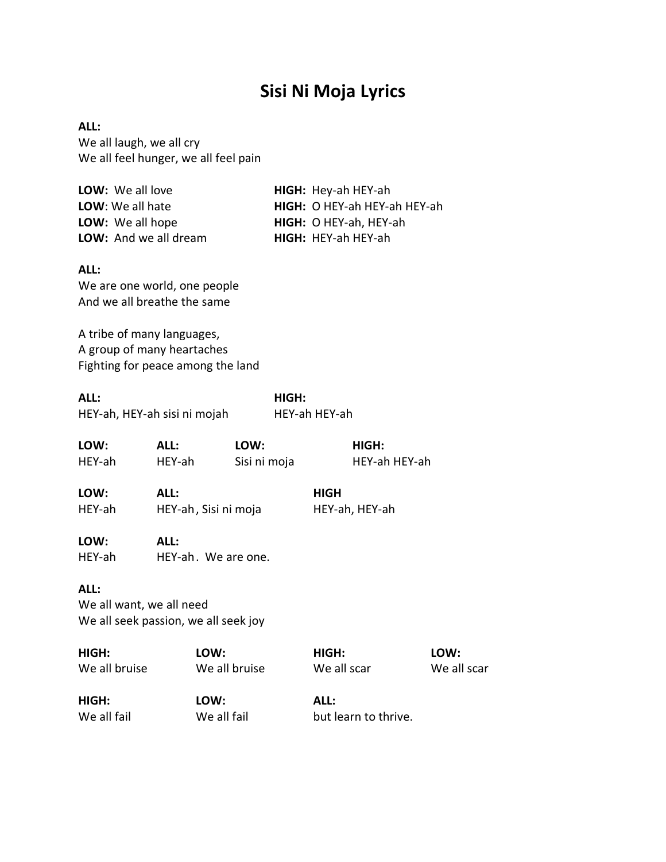# **Sisi Ni Moja Lyrics**

**ALL:** We all laugh, we all cry We all feel hunger, we all feel pain

| LOW: We all love             | HIGH: Hey-ah HEY-ah          |
|------------------------------|------------------------------|
| LOW: We all hate             | HIGH: O HEY-ah HEY-ah HEY-ah |
| LOW: We all hope             | HIGH: O HEY-ah, HEY-ah       |
| LOW: And we all dream        | HIGH: HEY-ah HEY-ah          |
|                              |                              |
| ALL:                         |                              |
| We are one world, one people |                              |

And we all breathe the same

A tribe of many languages, A group of many heartaches Fighting for peace among the land

**ALL: HIGH:** HEY-ah, HEY-ah sisi ni mojah HEY-ah HEY-ah

| LOW:           | ALL:                        | LOW:         | HIGH:          |  |
|----------------|-----------------------------|--------------|----------------|--|
| HEY-ah         | HEY-ah                      | Sisi ni moja | HEY-ah HEY-ah  |  |
| LOW:           | ALL:                        |              | <b>HIGH</b>    |  |
| HEY-ah         | HEY-ah, Sisi ni moja        |              | HEY-ah, HEY-ah |  |
| LOW:<br>HEY-ah | ALL:<br>HEY-ah. We are one. |              |                |  |
| <b>AII.</b>    |                             |              |                |  |

**ALL:**

We all want, we all need We all seek passion, we all seek joy

**HIGH: LOW: HIGH: LOW:** We all bruise We all bruise We all scar We all scar

**HIGH: LOW: ALL:**

We all fail We all fail but learn to thrive.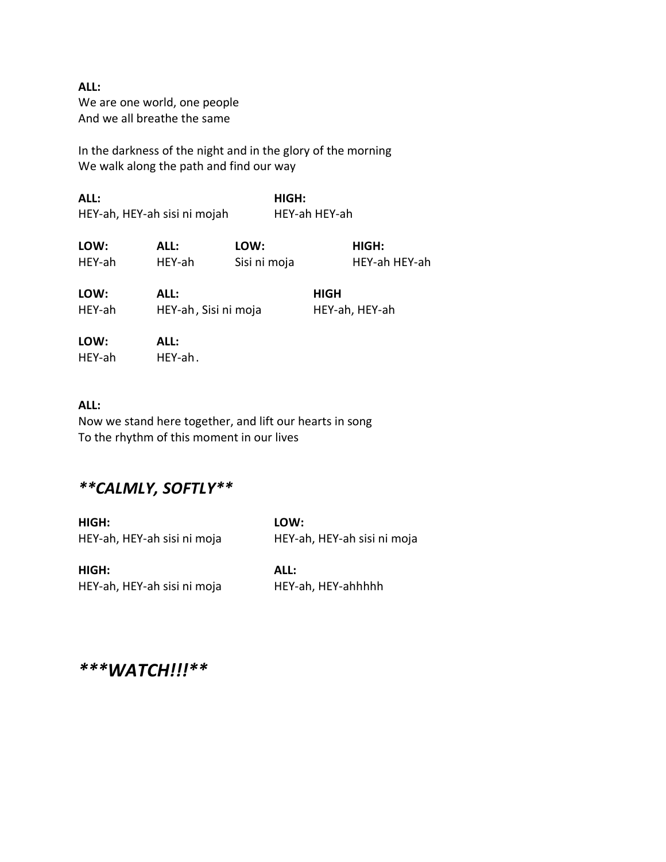**ALL:** We are one world, one people And we all breathe the same

In the darkness of the night and in the glory of the morning We walk along the path and find our way

**ALL: HIGH:** HEY-ah, HEY-ah sisi ni mojah HEY-ah HEY-ah

| LOW:           | ALL:                         | LOW:         |             | HIGH:          |
|----------------|------------------------------|--------------|-------------|----------------|
| HEY-ah         | HEY-ah                       | Sisi ni moja |             | HEY-ah HEY-ah  |
| LOW:<br>HEY-ah | ALL:<br>HEY-ah, Sisi ni moja |              | <b>HIGH</b> | HEY-ah, HEY-ah |

| LOW:   | ALL:    |
|--------|---------|
| HEY-ah | HEY-ah. |

### **ALL:**

Now we stand here together, and lift our hearts in song To the rhythm of this moment in our lives

### *\*\*CALMLY, SOFTLY\*\**

**HIGH: LOW:** HEY-ah, HEY-ah sisi ni moja HEY-ah, HEY-ah sisi ni moja

**HIGH: ALL:** HEY-ah, HEY-ah sisi ni moja HEY-ah, HEY-ahhhhh

*\*\*\*WATCH!!!\*\**